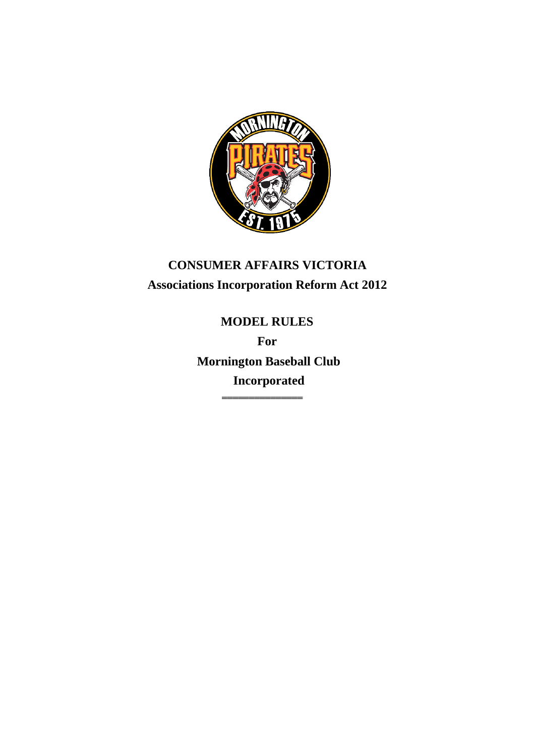

# **CONSUMER AFFAIRS VICTORIA Associations Incorporation Reform Act 2012**

**MODEL RULES For Mornington Baseball Club Incorporated** 

═══════════════════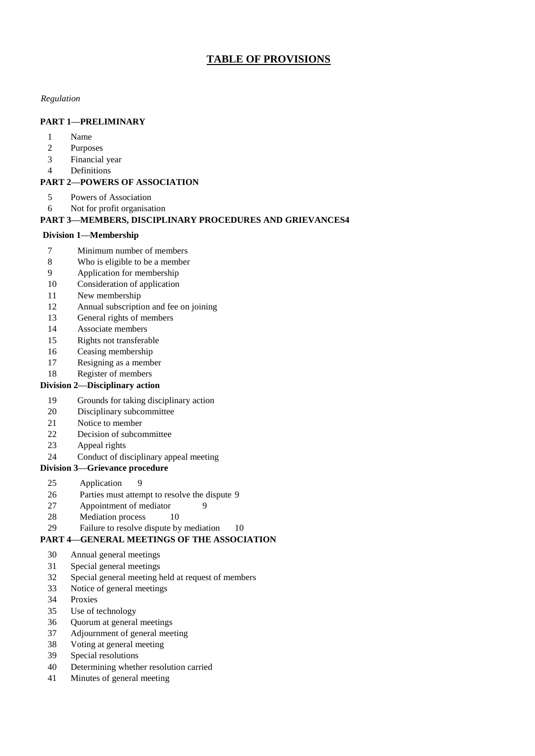# **TABLE OF PROVISIONS**

#### *Regulation*

#### **PART 1—PRELIMINARY**

- Name
- Purposes
- Financial year
- Definitions

#### **PART 2—POWERS OF ASSOCIATION**

- Powers of Association
- Not for profit organisation

#### **PART 3—MEMBERS, DISCIPLINARY PROCEDURES AND GRIEVANCES4**

#### **Division 1—Membership**

- 7 Minimum number of members<br>8 Who is eligible to be a member
- Who is eligible to be a member
- Application for membership
- Consideration of application
- New membership
- Annual subscription and fee on joining
- General rights of members
- Associate members
- Rights not transferable
- Ceasing membership
- Resigning as a member
- Register of members

#### **Division 2—Disciplinary action**

- Grounds for taking disciplinary action
- Disciplinary subcommittee
- Notice to member
- Decision of subcommittee
- Appeal rights
- Conduct of disciplinary appeal meeting
- **Division 3—Grievance procedure** 
	- Application 9
	- Parties must attempt to resolve the dispute 9
	- 27 Appointment of mediator 9
	- 28 Mediation process 10
	- Failure to resolve dispute by mediation 10

#### **PART 4—GENERAL MEETINGS OF THE ASSOCIATION**

- Annual general meetings
- Special general meetings
- Special general meeting held at request of members
- Notice of general meetings
- Proxies
- Use of technology
- Quorum at general meetings
- Adjournment of general meeting
- Voting at general meeting
- Special resolutions
- Determining whether resolution carried
- Minutes of general meeting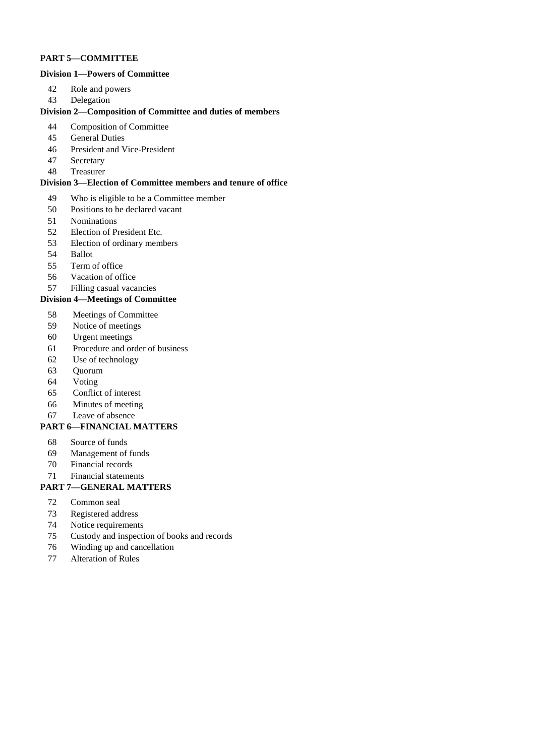#### **PART 5—COMMITTEE**

#### **Division 1—Powers of Committee**

- Role and powers
- Delegation

#### **Division 2—Composition of Committee and duties of members**

- Composition of Committee
- General Duties
- President and Vice-President
- Secretary
- Treasurer

#### **Division 3—Election of Committee members and tenure of office**

- Who is eligible to be a Committee member
- 50 Positions to be declared vacant<br>51 Nominations
- **Nominations**
- Election of President Etc.
- Election of ordinary members
- Ballot
- Term of office
- Vacation of office
- Filling casual vacancies

#### **Division 4—Meetings of Committee**

- Meetings of Committee
- Notice of meetings
- Urgent meetings
- Procedure and order of business
- Use of technology
- Quorum
- Voting
- Conflict of interest
- Minutes of meeting
- Leave of absence

#### **PART 6—FINANCIAL MATTERS**

- Source of funds
- Management of funds
- Financial records
- Financial statements

#### **PART 7—GENERAL MATTERS**

- Common seal
- Registered address
- Notice requirements
- Custody and inspection of books and records
- Winding up and cancellation
- Alteration of Rules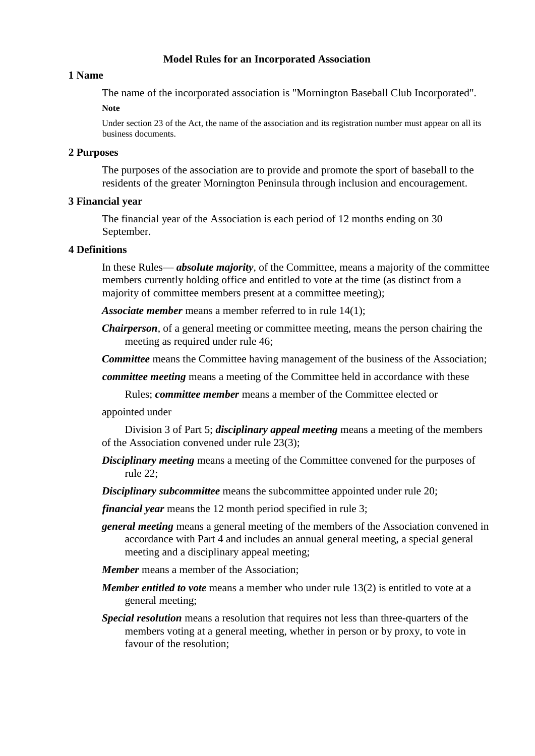### **Model Rules for an Incorporated Association**

#### **1 Name**

The name of the incorporated association is "Mornington Baseball Club Incorporated".

#### **Note**

Under section 23 of the Act, the name of the association and its registration number must appear on all its business documents.

### **2 Purposes**

The purposes of the association are to provide and promote the sport of baseball to the residents of the greater Mornington Peninsula through inclusion and encouragement.

### **3 Financial year**

The financial year of the Association is each period of 12 months ending on 30 September.

### **4 Definitions**

In these Rules— *absolute majority*, of the Committee, means a majority of the committee members currently holding office and entitled to vote at the time (as distinct from a majority of committee members present at a committee meeting);

*Associate member* means a member referred to in rule 14(1);

*Chairperson*, of a general meeting or committee meeting, means the person chairing the meeting as required under rule 46;

*Committee* means the Committee having management of the business of the Association;

*committee meeting* means a meeting of the Committee held in accordance with these

Rules; *committee member* means a member of the Committee elected or

appointed under

Division 3 of Part 5; *disciplinary appeal meeting* means a meeting of the members of the Association convened under rule 23(3);

**Disciplinary meeting** means a meeting of the Committee convened for the purposes of rule 22;

*Disciplinary subcommittee* means the subcommittee appointed under rule 20;

*financial year* means the 12 month period specified in rule 3;

- *general meeting* means a general meeting of the members of the Association convened in accordance with Part 4 and includes an annual general meeting, a special general meeting and a disciplinary appeal meeting;
- *Member* means a member of the Association;
- *Member entitled to vote* means a member who under rule 13(2) is entitled to vote at a general meeting;
- *Special resolution* means a resolution that requires not less than three-quarters of the members voting at a general meeting, whether in person or by proxy, to vote in favour of the resolution;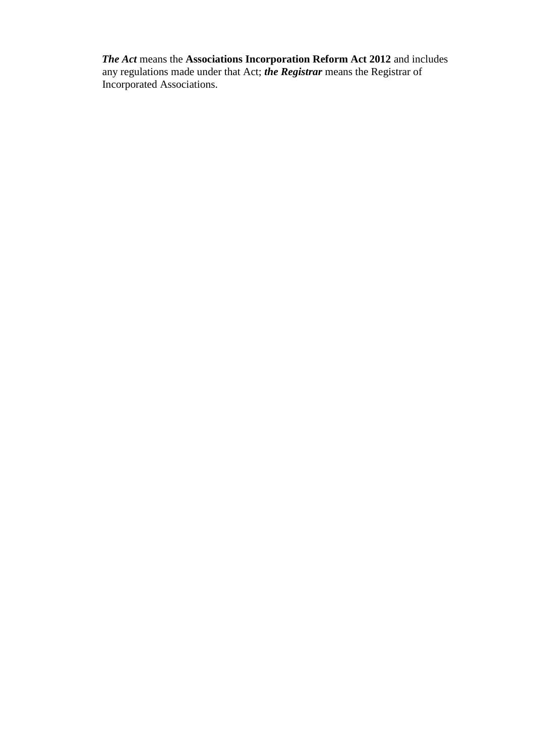*The Act* means the **Associations Incorporation Reform Act 2012** and includes any regulations made under that Act; *the Registrar* means the Registrar of Incorporated Associations.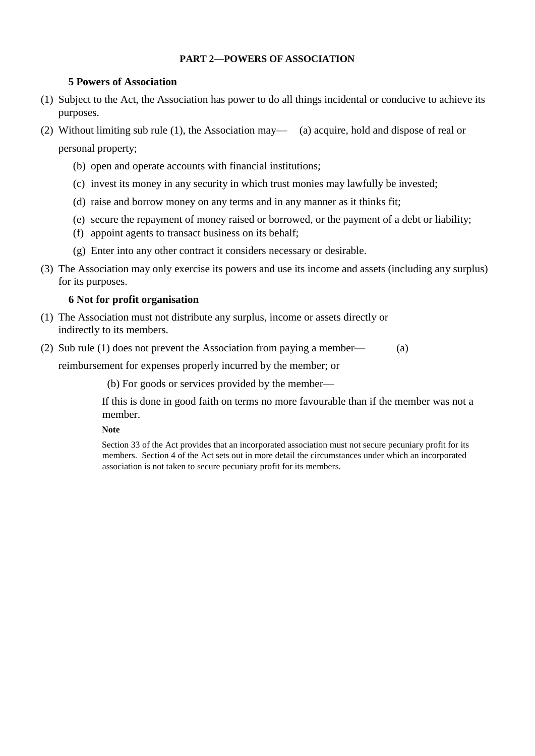#### **PART 2—POWERS OF ASSOCIATION**

#### **5 Powers of Association**

- (1) Subject to the Act, the Association has power to do all things incidental or conducive to achieve its purposes.
- (2) Without limiting sub rule (1), the Association may— (a) acquire, hold and dispose of real or

personal property;

- (b) open and operate accounts with financial institutions;
- (c) invest its money in any security in which trust monies may lawfully be invested;
- (d) raise and borrow money on any terms and in any manner as it thinks fit;
- (e) secure the repayment of money raised or borrowed, or the payment of a debt or liability;
- (f) appoint agents to transact business on its behalf;
- (g) Enter into any other contract it considers necessary or desirable.
- (3) The Association may only exercise its powers and use its income and assets (including any surplus) for its purposes.

### **6 Not for profit organisation**

- (1) The Association must not distribute any surplus, income or assets directly or indirectly to its members.
- (2) Sub rule (1) does not prevent the Association from paying a member— (a)

reimbursement for expenses properly incurred by the member; or

(b) For goods or services provided by the member—

If this is done in good faith on terms no more favourable than if the member was not a member.

#### **Note**

Section 33 of the Act provides that an incorporated association must not secure pecuniary profit for its members. Section 4 of the Act sets out in more detail the circumstances under which an incorporated association is not taken to secure pecuniary profit for its members.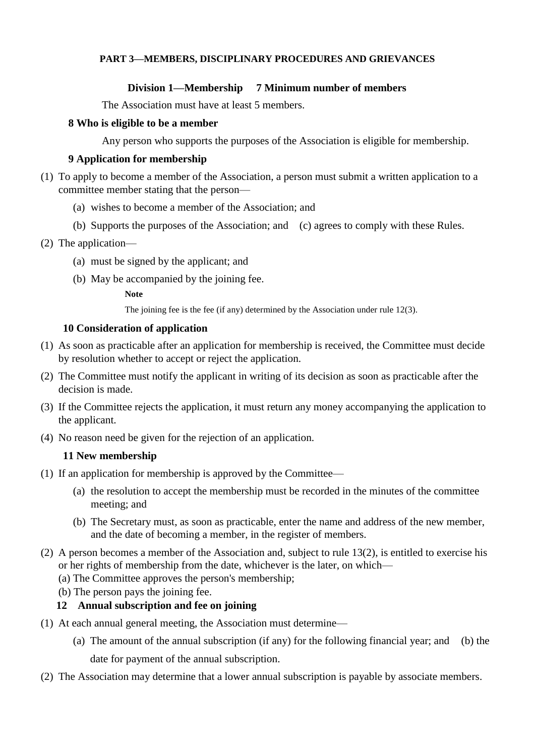### **PART 3—MEMBERS, DISCIPLINARY PROCEDURES AND GRIEVANCES**

### **Division 1—Membership 7 Minimum number of members**

The Association must have at least 5 members.

#### **8 Who is eligible to be a member**

Any person who supports the purposes of the Association is eligible for membership.

### **9 Application for membership**

- (1) To apply to become a member of the Association, a person must submit a written application to a committee member stating that the person—
	- (a) wishes to become a member of the Association; and
	- (b) Supports the purposes of the Association; and (c) agrees to comply with these Rules.
- (2) The application—
	- (a) must be signed by the applicant; and
	- (b) May be accompanied by the joining fee.

#### **Note**

The joining fee is the fee (if any) determined by the Association under rule 12(3).

### **10 Consideration of application**

- (1) As soon as practicable after an application for membership is received, the Committee must decide by resolution whether to accept or reject the application.
- (2) The Committee must notify the applicant in writing of its decision as soon as practicable after the decision is made.
- (3) If the Committee rejects the application, it must return any money accompanying the application to the applicant.
- (4) No reason need be given for the rejection of an application.

#### **11 New membership**

- (1) If an application for membership is approved by the Committee—
	- (a) the resolution to accept the membership must be recorded in the minutes of the committee meeting; and
	- (b) The Secretary must, as soon as practicable, enter the name and address of the new member, and the date of becoming a member, in the register of members.
- (2) A person becomes a member of the Association and, subject to rule 13(2), is entitled to exercise his or her rights of membership from the date, whichever is the later, on which—
	- (a) The Committee approves the person's membership;
	- (b) The person pays the joining fee.

## **12 Annual subscription and fee on joining**

- (1) At each annual general meeting, the Association must determine—
	- (a) The amount of the annual subscription (if any) for the following financial year; and (b) the date for payment of the annual subscription.
- (2) The Association may determine that a lower annual subscription is payable by associate members.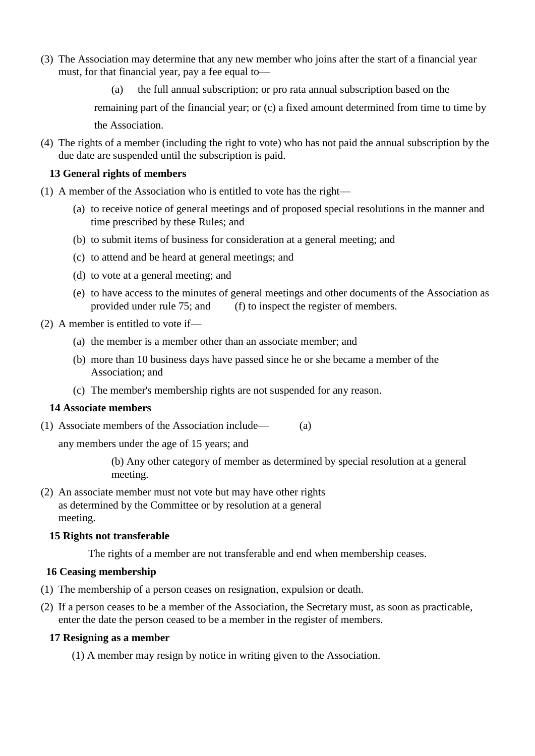- (3) The Association may determine that any new member who joins after the start of a financial year must, for that financial year, pay a fee equal to—
	- (a) the full annual subscription; or pro rata annual subscription based on the

remaining part of the financial year; or (c) a fixed amount determined from time to time by the Association.

(4) The rights of a member (including the right to vote) who has not paid the annual subscription by the due date are suspended until the subscription is paid.

#### **13 General rights of members**

- (1) A member of the Association who is entitled to vote has the right—
	- (a) to receive notice of general meetings and of proposed special resolutions in the manner and time prescribed by these Rules; and
	- (b) to submit items of business for consideration at a general meeting; and
	- (c) to attend and be heard at general meetings; and
	- (d) to vote at a general meeting; and
	- (e) to have access to the minutes of general meetings and other documents of the Association as provided under rule 75; and (f) to inspect the register of members.
- (2) A member is entitled to vote if—
	- (a) the member is a member other than an associate member; and
	- (b) more than 10 business days have passed since he or she became a member of the Association; and
	- (c) The member's membership rights are not suspended for any reason.

#### **14 Associate members**

(1) Associate members of the Association include— (a)

any members under the age of 15 years; and

(b) Any other category of member as determined by special resolution at a general meeting.

(2) An associate member must not vote but may have other rights as determined by the Committee or by resolution at a general meeting.

## **15 Rights not transferable**

The rights of a member are not transferable and end when membership ceases.

## **16 Ceasing membership**

- (1) The membership of a person ceases on resignation, expulsion or death.
- (2) If a person ceases to be a member of the Association, the Secretary must, as soon as practicable, enter the date the person ceased to be a member in the register of members.

#### **17 Resigning as a member**

(1) A member may resign by notice in writing given to the Association.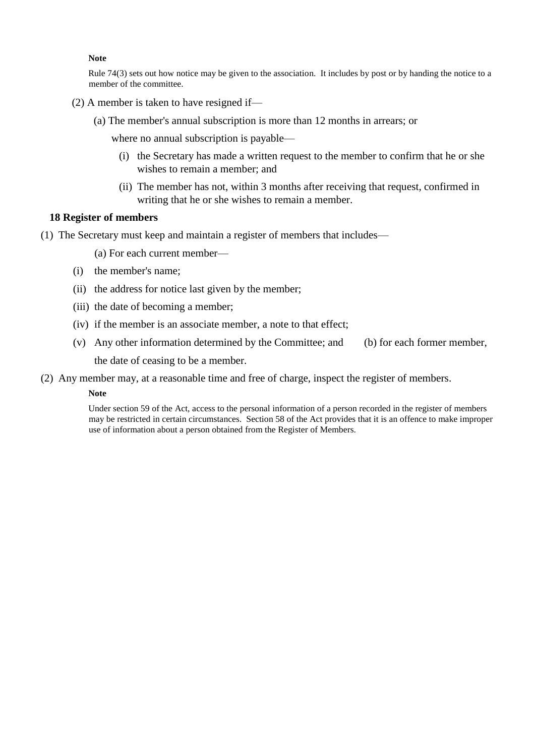#### **Note**

Rule 74(3) sets out how notice may be given to the association. It includes by post or by handing the notice to a member of the committee.

- (2) A member is taken to have resigned if—
	- (a) The member's annual subscription is more than 12 months in arrears; or

where no annual subscription is payable—

- (i) the Secretary has made a written request to the member to confirm that he or she wishes to remain a member; and
- (ii) The member has not, within 3 months after receiving that request, confirmed in writing that he or she wishes to remain a member.

#### **18 Register of members**

(1) The Secretary must keep and maintain a register of members that includes—

(a) For each current member—

- (i) the member's name;
- (ii) the address for notice last given by the member;
- (iii) the date of becoming a member;
- (iv) if the member is an associate member, a note to that effect;
- (v) Any other information determined by the Committee; and (b) for each former member, the date of ceasing to be a member.
- (2) Any member may, at a reasonable time and free of charge, inspect the register of members.

#### **Note**

Under section 59 of the Act, access to the personal information of a person recorded in the register of members may be restricted in certain circumstances. Section 58 of the Act provides that it is an offence to make improper use of information about a person obtained from the Register of Members.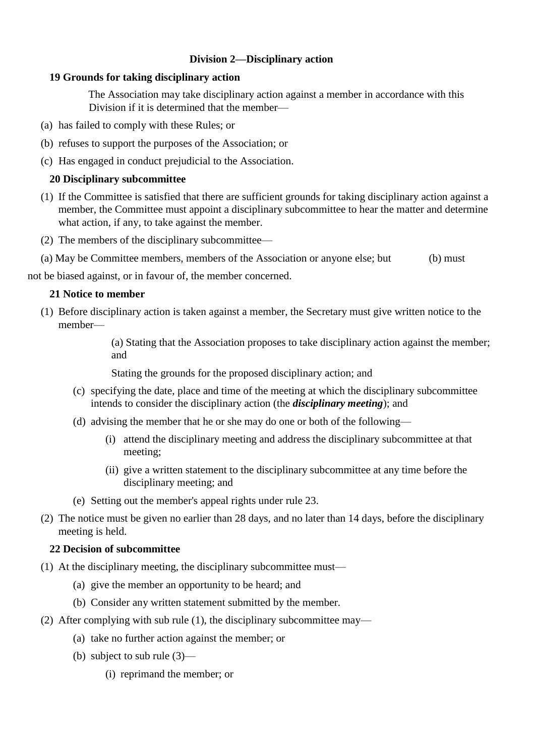# **Division 2—Disciplinary action**

### **19 Grounds for taking disciplinary action**

The Association may take disciplinary action against a member in accordance with this Division if it is determined that the member—

- (a) has failed to comply with these Rules; or
- (b) refuses to support the purposes of the Association; or
- (c) Has engaged in conduct prejudicial to the Association.

### **20 Disciplinary subcommittee**

- (1) If the Committee is satisfied that there are sufficient grounds for taking disciplinary action against a member, the Committee must appoint a disciplinary subcommittee to hear the matter and determine what action, if any, to take against the member.
- (2) The members of the disciplinary subcommittee—
- (a) May be Committee members, members of the Association or anyone else; but (b) must

not be biased against, or in favour of, the member concerned.

#### **21 Notice to member**

(1) Before disciplinary action is taken against a member, the Secretary must give written notice to the member—

> (a) Stating that the Association proposes to take disciplinary action against the member; and

Stating the grounds for the proposed disciplinary action; and

- (c) specifying the date, place and time of the meeting at which the disciplinary subcommittee intends to consider the disciplinary action (the *disciplinary meeting*); and
- (d) advising the member that he or she may do one or both of the following—
	- (i) attend the disciplinary meeting and address the disciplinary subcommittee at that meeting;
	- (ii) give a written statement to the disciplinary subcommittee at any time before the disciplinary meeting; and
- (e) Setting out the member's appeal rights under rule 23.
- (2) The notice must be given no earlier than 28 days, and no later than 14 days, before the disciplinary meeting is held.

#### **22 Decision of subcommittee**

- (1) At the disciplinary meeting, the disciplinary subcommittee must—
	- (a) give the member an opportunity to be heard; and
	- (b) Consider any written statement submitted by the member.
- (2) After complying with sub rule (1), the disciplinary subcommittee may—
	- (a) take no further action against the member; or
	- (b) subject to sub rule (3)—
		- (i) reprimand the member; or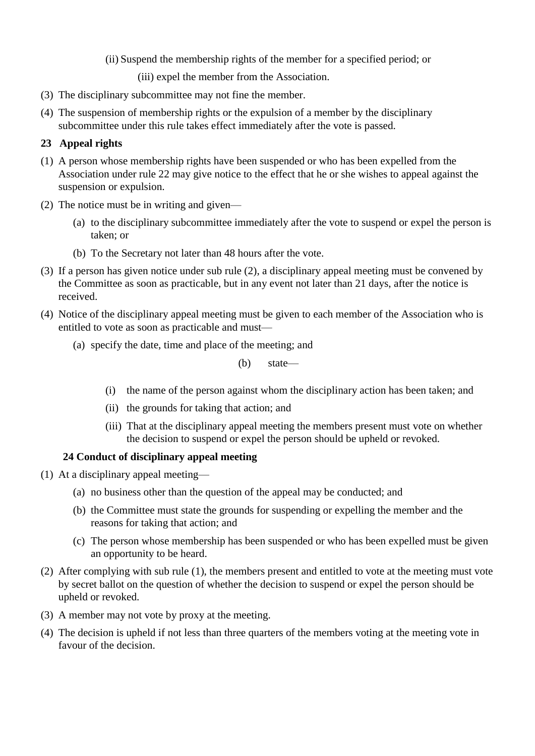(ii) Suspend the membership rights of the member for a specified period; or

(iii) expel the member from the Association.

- (3) The disciplinary subcommittee may not fine the member.
- (4) The suspension of membership rights or the expulsion of a member by the disciplinary subcommittee under this rule takes effect immediately after the vote is passed.

# **23 Appeal rights**

- (1) A person whose membership rights have been suspended or who has been expelled from the Association under rule 22 may give notice to the effect that he or she wishes to appeal against the suspension or expulsion.
- (2) The notice must be in writing and given—
	- (a) to the disciplinary subcommittee immediately after the vote to suspend or expel the person is taken; or
	- (b) To the Secretary not later than 48 hours after the vote.
- (3) If a person has given notice under sub rule (2), a disciplinary appeal meeting must be convened by the Committee as soon as practicable, but in any event not later than 21 days, after the notice is received.
- (4) Notice of the disciplinary appeal meeting must be given to each member of the Association who is entitled to vote as soon as practicable and must—
	- (a) specify the date, time and place of the meeting; and

(b) state—

- (i) the name of the person against whom the disciplinary action has been taken; and
- (ii) the grounds for taking that action; and
- (iii) That at the disciplinary appeal meeting the members present must vote on whether the decision to suspend or expel the person should be upheld or revoked.

## **24 Conduct of disciplinary appeal meeting**

- (1) At a disciplinary appeal meeting—
	- (a) no business other than the question of the appeal may be conducted; and
	- (b) the Committee must state the grounds for suspending or expelling the member and the reasons for taking that action; and
	- (c) The person whose membership has been suspended or who has been expelled must be given an opportunity to be heard.
- (2) After complying with sub rule (1), the members present and entitled to vote at the meeting must vote by secret ballot on the question of whether the decision to suspend or expel the person should be upheld or revoked.
- (3) A member may not vote by proxy at the meeting.
- (4) The decision is upheld if not less than three quarters of the members voting at the meeting vote in favour of the decision.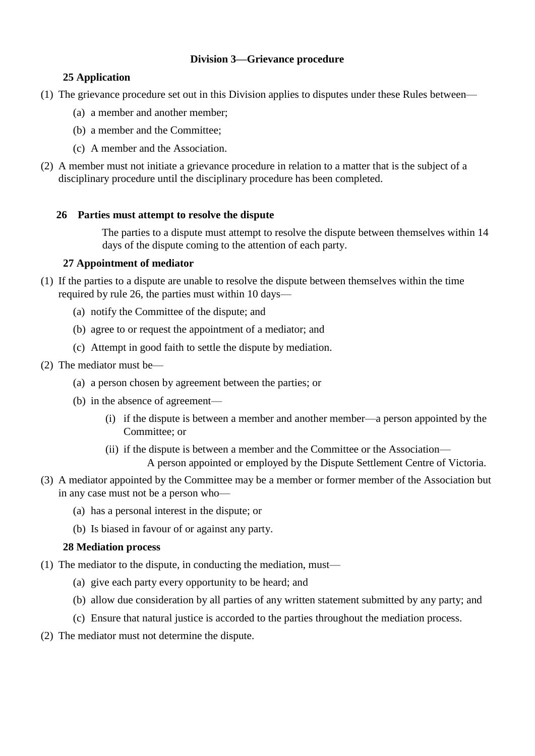# **Division 3—Grievance procedure**

# **25 Application**

- (1) The grievance procedure set out in this Division applies to disputes under these Rules between—
	- (a) a member and another member;
	- (b) a member and the Committee;
	- (c) A member and the Association.
- (2) A member must not initiate a grievance procedure in relation to a matter that is the subject of a disciplinary procedure until the disciplinary procedure has been completed.

# **26 Parties must attempt to resolve the dispute**

The parties to a dispute must attempt to resolve the dispute between themselves within 14 days of the dispute coming to the attention of each party.

# **27 Appointment of mediator**

- (1) If the parties to a dispute are unable to resolve the dispute between themselves within the time required by rule 26, the parties must within 10 days—
	- (a) notify the Committee of the dispute; and
	- (b) agree to or request the appointment of a mediator; and
	- (c) Attempt in good faith to settle the dispute by mediation.
- (2) The mediator must be—
	- (a) a person chosen by agreement between the parties; or
	- (b) in the absence of agreement—
		- (i) if the dispute is between a member and another member—a person appointed by the Committee; or
		- (ii) if the dispute is between a member and the Committee or the Association— A person appointed or employed by the Dispute Settlement Centre of Victoria.
- (3) A mediator appointed by the Committee may be a member or former member of the Association but in any case must not be a person who—
	- (a) has a personal interest in the dispute; or
	- (b) Is biased in favour of or against any party.

## **28 Mediation process**

- (1) The mediator to the dispute, in conducting the mediation, must—
	- (a) give each party every opportunity to be heard; and
	- (b) allow due consideration by all parties of any written statement submitted by any party; and
	- (c) Ensure that natural justice is accorded to the parties throughout the mediation process.
- (2) The mediator must not determine the dispute.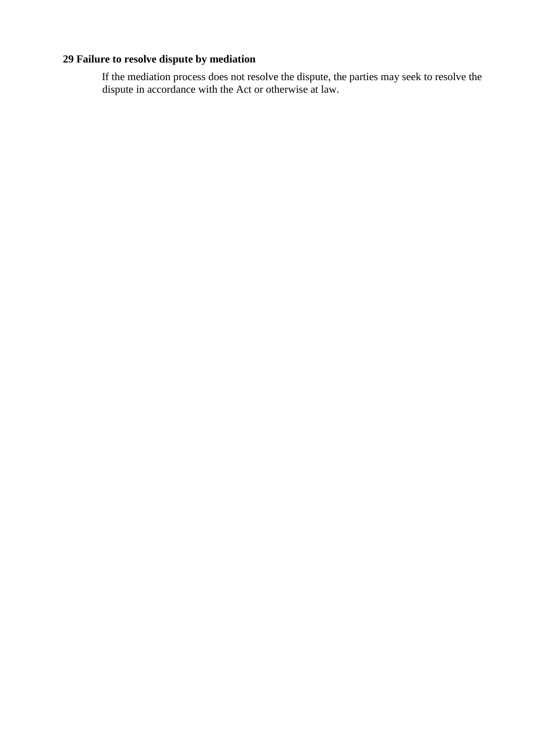# **29 Failure to resolve dispute by mediation**

If the mediation process does not resolve the dispute, the parties may seek to resolve the dispute in accordance with the Act or otherwise at law.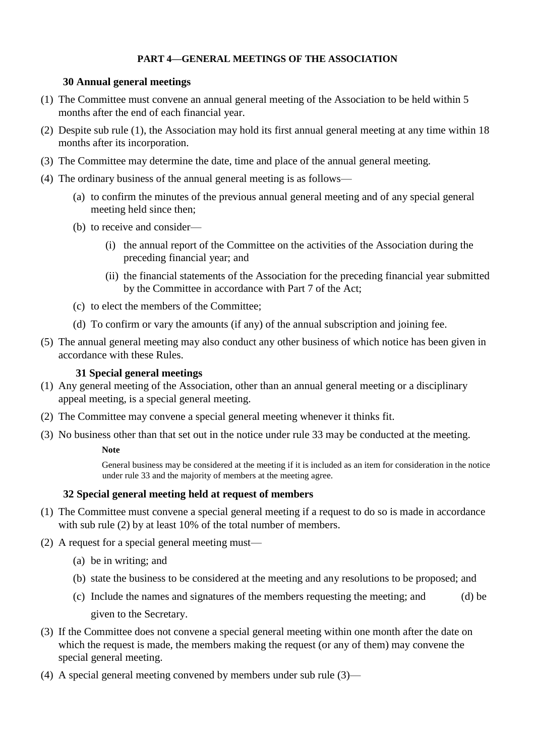### **PART 4—GENERAL MEETINGS OF THE ASSOCIATION**

### **30 Annual general meetings**

- (1) The Committee must convene an annual general meeting of the Association to be held within 5 months after the end of each financial year.
- (2) Despite sub rule (1), the Association may hold its first annual general meeting at any time within 18 months after its incorporation.
- (3) The Committee may determine the date, time and place of the annual general meeting.
- (4) The ordinary business of the annual general meeting is as follows—
	- (a) to confirm the minutes of the previous annual general meeting and of any special general meeting held since then;
	- (b) to receive and consider—
		- (i) the annual report of the Committee on the activities of the Association during the preceding financial year; and
		- (ii) the financial statements of the Association for the preceding financial year submitted by the Committee in accordance with Part 7 of the Act;
	- (c) to elect the members of the Committee;
	- (d) To confirm or vary the amounts (if any) of the annual subscription and joining fee.
- (5) The annual general meeting may also conduct any other business of which notice has been given in accordance with these Rules.

#### **31 Special general meetings**

- (1) Any general meeting of the Association, other than an annual general meeting or a disciplinary appeal meeting, is a special general meeting.
- (2) The Committee may convene a special general meeting whenever it thinks fit.
- (3) No business other than that set out in the notice under rule 33 may be conducted at the meeting.

#### **Note**

General business may be considered at the meeting if it is included as an item for consideration in the notice under rule 33 and the majority of members at the meeting agree.

## **32 Special general meeting held at request of members**

- (1) The Committee must convene a special general meeting if a request to do so is made in accordance with sub rule (2) by at least 10% of the total number of members.
- (2) A request for a special general meeting must—
	- (a) be in writing; and
	- (b) state the business to be considered at the meeting and any resolutions to be proposed; and
	- (c) Include the names and signatures of the members requesting the meeting; and (d) be given to the Secretary.
- (3) If the Committee does not convene a special general meeting within one month after the date on which the request is made, the members making the request (or any of them) may convene the special general meeting.
- (4) A special general meeting convened by members under sub rule (3)—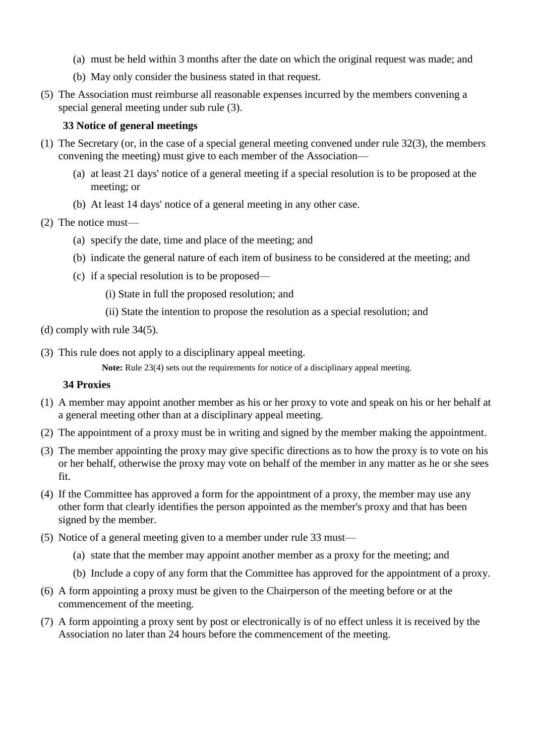- (a) must be held within 3 months after the date on which the original request was made; and
- (b) May only consider the business stated in that request.
- (5) The Association must reimburse all reasonable expenses incurred by the members convening a special general meeting under sub rule (3).

### **33 Notice of general meetings**

- (1) The Secretary (or, in the case of a special general meeting convened under rule 32(3), the members convening the meeting) must give to each member of the Association—
	- (a) at least 21 days' notice of a general meeting if a special resolution is to be proposed at the meeting; or
	- (b) At least 14 days' notice of a general meeting in any other case.
- (2) The notice must—
	- (a) specify the date, time and place of the meeting; and
	- (b) indicate the general nature of each item of business to be considered at the meeting; and
	- (c) if a special resolution is to be proposed—
		- (i) State in full the proposed resolution; and
		- (ii) State the intention to propose the resolution as a special resolution; and
- (d) comply with rule 34(5).
- (3) This rule does not apply to a disciplinary appeal meeting.

Note: Rule 23(4) sets out the requirements for notice of a disciplinary appeal meeting.

#### **34 Proxies**

- (1) A member may appoint another member as his or her proxy to vote and speak on his or her behalf at a general meeting other than at a disciplinary appeal meeting.
- (2) The appointment of a proxy must be in writing and signed by the member making the appointment.
- (3) The member appointing the proxy may give specific directions as to how the proxy is to vote on his or her behalf, otherwise the proxy may vote on behalf of the member in any matter as he or she sees fit.
- (4) If the Committee has approved a form for the appointment of a proxy, the member may use any other form that clearly identifies the person appointed as the member's proxy and that has been signed by the member.
- (5) Notice of a general meeting given to a member under rule 33 must—
	- (a) state that the member may appoint another member as a proxy for the meeting; and
	- (b) Include a copy of any form that the Committee has approved for the appointment of a proxy.
- (6) A form appointing a proxy must be given to the Chairperson of the meeting before or at the commencement of the meeting.
- (7) A form appointing a proxy sent by post or electronically is of no effect unless it is received by the Association no later than 24 hours before the commencement of the meeting.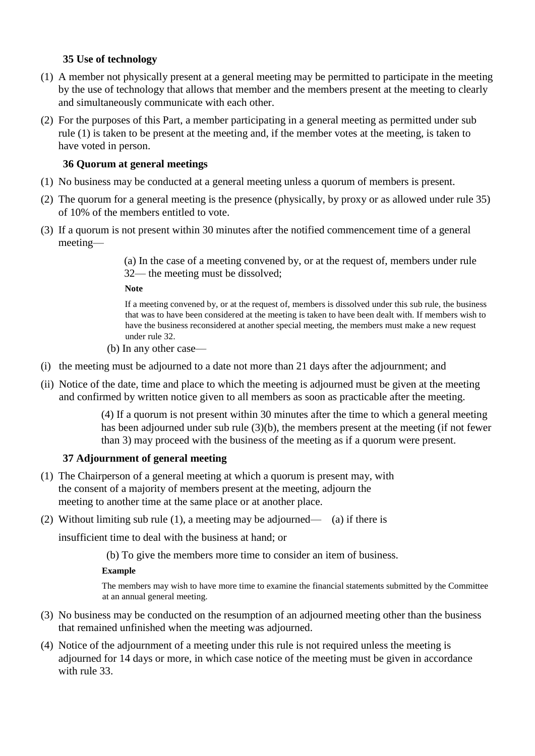# **35 Use of technology**

- (1) A member not physically present at a general meeting may be permitted to participate in the meeting by the use of technology that allows that member and the members present at the meeting to clearly and simultaneously communicate with each other.
- (2) For the purposes of this Part, a member participating in a general meeting as permitted under sub rule (1) is taken to be present at the meeting and, if the member votes at the meeting, is taken to have voted in person.

## **36 Quorum at general meetings**

- (1) No business may be conducted at a general meeting unless a quorum of members is present.
- (2) The quorum for a general meeting is the presence (physically, by proxy or as allowed under rule 35) of 10% of the members entitled to vote.
- (3) If a quorum is not present within 30 minutes after the notified commencement time of a general meeting—

(a) In the case of a meeting convened by, or at the request of, members under rule 32— the meeting must be dissolved;

**Note** 

If a meeting convened by, or at the request of, members is dissolved under this sub rule, the business that was to have been considered at the meeting is taken to have been dealt with. If members wish to have the business reconsidered at another special meeting, the members must make a new request under rule 32.

- (b) In any other case—
- (i) the meeting must be adjourned to a date not more than 21 days after the adjournment; and
- (ii) Notice of the date, time and place to which the meeting is adjourned must be given at the meeting and confirmed by written notice given to all members as soon as practicable after the meeting.

(4) If a quorum is not present within 30 minutes after the time to which a general meeting has been adjourned under sub rule (3)(b), the members present at the meeting (if not fewer than 3) may proceed with the business of the meeting as if a quorum were present.

## **37 Adjournment of general meeting**

- (1) The Chairperson of a general meeting at which a quorum is present may, with the consent of a majority of members present at the meeting, adjourn the meeting to another time at the same place or at another place.
- (2) Without limiting sub rule (1), a meeting may be adjourned— (a) if there is

insufficient time to deal with the business at hand; or

(b) To give the members more time to consider an item of business.

#### **Example**

The members may wish to have more time to examine the financial statements submitted by the Committee at an annual general meeting.

- (3) No business may be conducted on the resumption of an adjourned meeting other than the business that remained unfinished when the meeting was adjourned.
- (4) Notice of the adjournment of a meeting under this rule is not required unless the meeting is adjourned for 14 days or more, in which case notice of the meeting must be given in accordance with rule 33.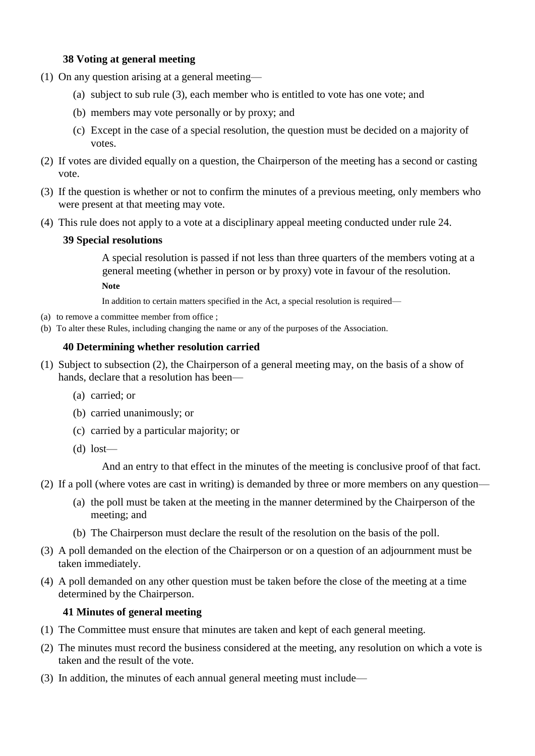### **38 Voting at general meeting**

- (1) On any question arising at a general meeting—
	- (a) subject to sub rule (3), each member who is entitled to vote has one vote; and
	- (b) members may vote personally or by proxy; and
	- (c) Except in the case of a special resolution, the question must be decided on a majority of votes.
- (2) If votes are divided equally on a question, the Chairperson of the meeting has a second or casting vote.
- (3) If the question is whether or not to confirm the minutes of a previous meeting, only members who were present at that meeting may vote.
- (4) This rule does not apply to a vote at a disciplinary appeal meeting conducted under rule 24.

### **39 Special resolutions**

A special resolution is passed if not less than three quarters of the members voting at a general meeting (whether in person or by proxy) vote in favour of the resolution. **Note** 

In addition to certain matters specified in the Act, a special resolution is required—

- (a) to remove a committee member from office ;
- (b) To alter these Rules, including changing the name or any of the purposes of the Association.

### **40 Determining whether resolution carried**

- (1) Subject to subsection (2), the Chairperson of a general meeting may, on the basis of a show of hands, declare that a resolution has been—
	- (a) carried; or
	- (b) carried unanimously; or
	- (c) carried by a particular majority; or
	- $(d)$  lost—

And an entry to that effect in the minutes of the meeting is conclusive proof of that fact.

- (2) If a poll (where votes are cast in writing) is demanded by three or more members on any question—
	- (a) the poll must be taken at the meeting in the manner determined by the Chairperson of the meeting; and
	- (b) The Chairperson must declare the result of the resolution on the basis of the poll.
- (3) A poll demanded on the election of the Chairperson or on a question of an adjournment must be taken immediately.
- (4) A poll demanded on any other question must be taken before the close of the meeting at a time determined by the Chairperson.

#### **41 Minutes of general meeting**

- (1) The Committee must ensure that minutes are taken and kept of each general meeting.
- (2) The minutes must record the business considered at the meeting, any resolution on which a vote is taken and the result of the vote.
- (3) In addition, the minutes of each annual general meeting must include—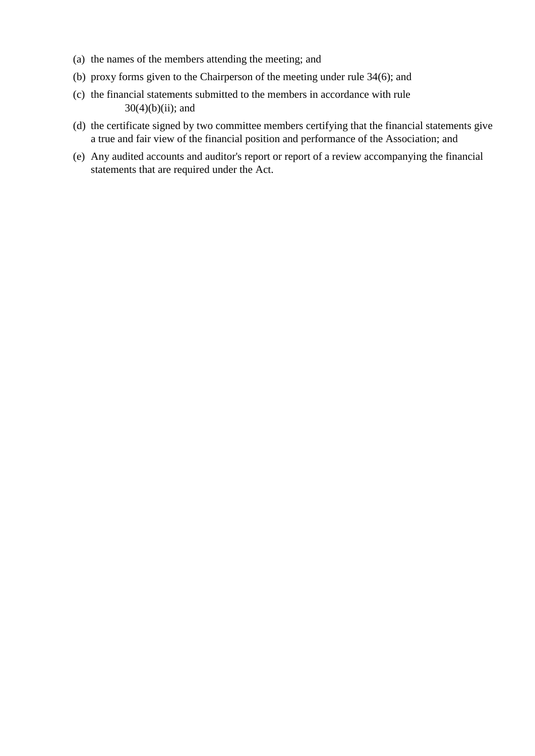- (a) the names of the members attending the meeting; and
- (b) proxy forms given to the Chairperson of the meeting under rule 34(6); and
- (c) the financial statements submitted to the members in accordance with rule  $30(4)(b)(ii)$ ; and
- (d) the certificate signed by two committee members certifying that the financial statements give a true and fair view of the financial position and performance of the Association; and
- (e) Any audited accounts and auditor's report or report of a review accompanying the financial statements that are required under the Act.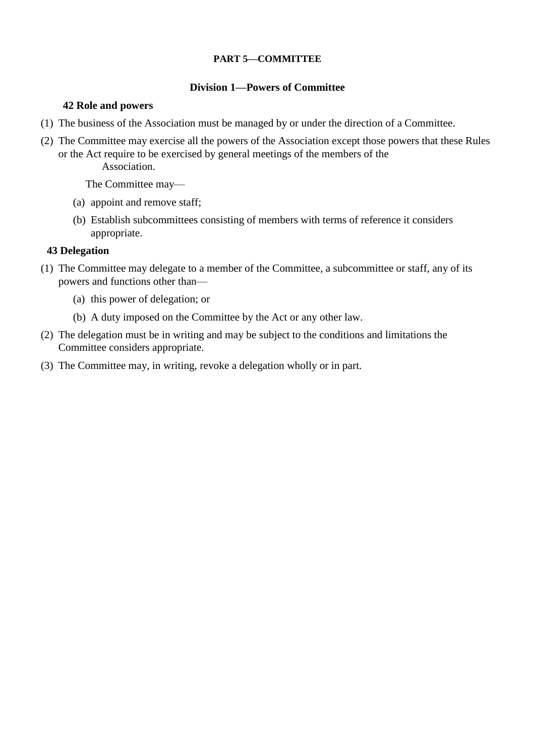### **PART 5—COMMITTEE**

### **Division 1—Powers of Committee**

### **42 Role and powers**

- (1) The business of the Association must be managed by or under the direction of a Committee.
- (2) The Committee may exercise all the powers of the Association except those powers that these Rules or the Act require to be exercised by general meetings of the members of the Association.

The Committee may—

- (a) appoint and remove staff;
- (b) Establish subcommittees consisting of members with terms of reference it considers appropriate.

## **43 Delegation**

- (1) The Committee may delegate to a member of the Committee, a subcommittee or staff, any of its powers and functions other than—
	- (a) this power of delegation; or
	- (b) A duty imposed on the Committee by the Act or any other law.
- (2) The delegation must be in writing and may be subject to the conditions and limitations the Committee considers appropriate.
- (3) The Committee may, in writing, revoke a delegation wholly or in part.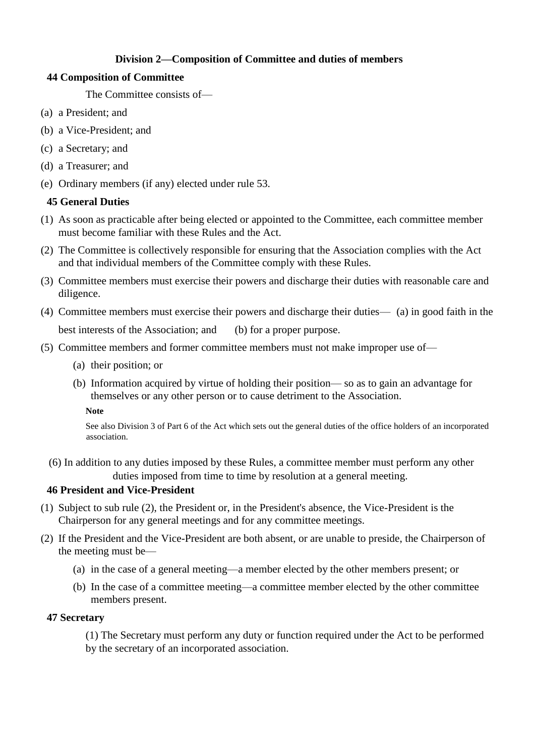# **Division 2—Composition of Committee and duties of members**

# **44 Composition of Committee**

The Committee consists of—

- (a) a President; and
- (b) a Vice-President; and
- (c) a Secretary; and
- (d) a Treasurer; and
- (e) Ordinary members (if any) elected under rule 53.

# **45 General Duties**

- (1) As soon as practicable after being elected or appointed to the Committee, each committee member must become familiar with these Rules and the Act.
- (2) The Committee is collectively responsible for ensuring that the Association complies with the Act and that individual members of the Committee comply with these Rules.
- (3) Committee members must exercise their powers and discharge their duties with reasonable care and diligence.
- (4) Committee members must exercise their powers and discharge their duties— (a) in good faith in the best interests of the Association; and (b) for a proper purpose.
- (5) Committee members and former committee members must not make improper use of—
	- (a) their position; or
	- (b) Information acquired by virtue of holding their position— so as to gain an advantage for themselves or any other person or to cause detriment to the Association.

**Note** 

See also Division 3 of Part 6 of the Act which sets out the general duties of the office holders of an incorporated association.

(6) In addition to any duties imposed by these Rules, a committee member must perform any other duties imposed from time to time by resolution at a general meeting.

## **46 President and Vice-President**

- (1) Subject to sub rule (2), the President or, in the President's absence, the Vice-President is the Chairperson for any general meetings and for any committee meetings.
- (2) If the President and the Vice-President are both absent, or are unable to preside, the Chairperson of the meeting must be—
	- (a) in the case of a general meeting—a member elected by the other members present; or
	- (b) In the case of a committee meeting—a committee member elected by the other committee members present.

## **47 Secretary**

(1) The Secretary must perform any duty or function required under the Act to be performed by the secretary of an incorporated association.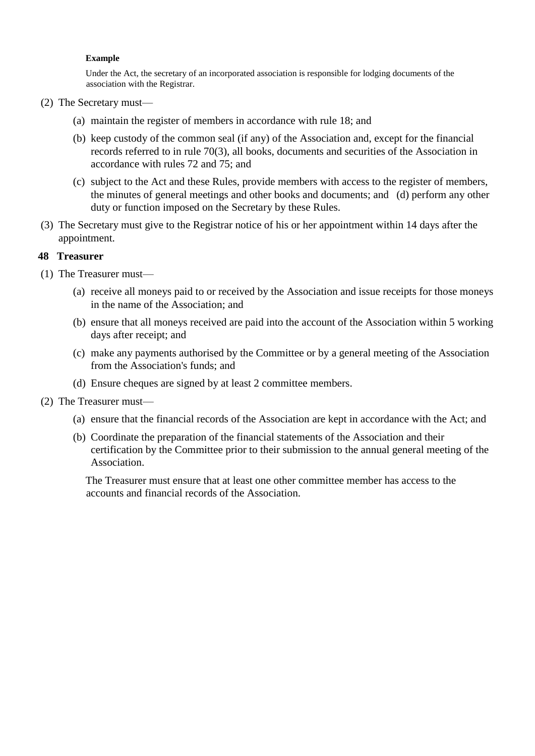#### **Example**

Under the Act, the secretary of an incorporated association is responsible for lodging documents of the association with the Registrar.

- (2) The Secretary must—
	- (a) maintain the register of members in accordance with rule 18; and
	- (b) keep custody of the common seal (if any) of the Association and, except for the financial records referred to in rule 70(3), all books, documents and securities of the Association in accordance with rules 72 and 75; and
	- (c) subject to the Act and these Rules, provide members with access to the register of members, the minutes of general meetings and other books and documents; and (d) perform any other duty or function imposed on the Secretary by these Rules.
- (3) The Secretary must give to the Registrar notice of his or her appointment within 14 days after the appointment.

#### **48 Treasurer**

- (1) The Treasurer must—
	- (a) receive all moneys paid to or received by the Association and issue receipts for those moneys in the name of the Association; and
	- (b) ensure that all moneys received are paid into the account of the Association within 5 working days after receipt; and
	- (c) make any payments authorised by the Committee or by a general meeting of the Association from the Association's funds; and
	- (d) Ensure cheques are signed by at least 2 committee members.
- (2) The Treasurer must—
	- (a) ensure that the financial records of the Association are kept in accordance with the Act; and
	- (b) Coordinate the preparation of the financial statements of the Association and their certification by the Committee prior to their submission to the annual general meeting of the Association.

The Treasurer must ensure that at least one other committee member has access to the accounts and financial records of the Association.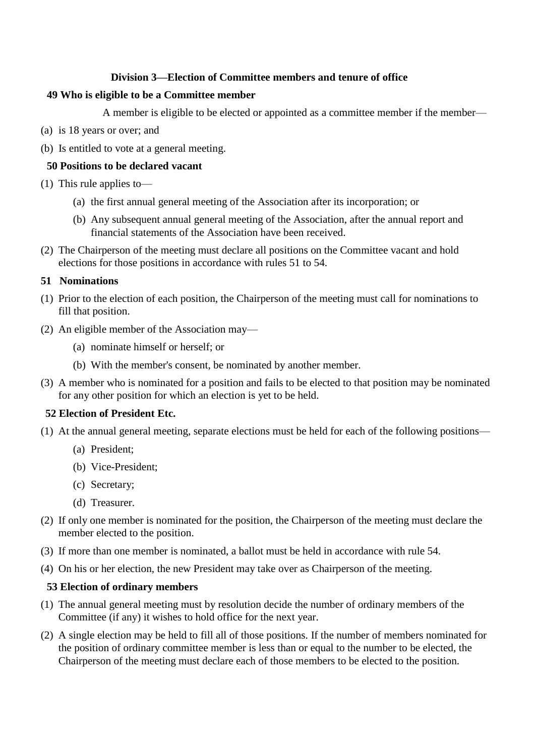### **Division 3—Election of Committee members and tenure of office**

#### **49 Who is eligible to be a Committee member**

A member is eligible to be elected or appointed as a committee member if the member—

- (a) is 18 years or over; and
- (b) Is entitled to vote at a general meeting.

### **50 Positions to be declared vacant**

- (1) This rule applies to—
	- (a) the first annual general meeting of the Association after its incorporation; or
	- (b) Any subsequent annual general meeting of the Association, after the annual report and financial statements of the Association have been received.
- (2) The Chairperson of the meeting must declare all positions on the Committee vacant and hold elections for those positions in accordance with rules 51 to 54.

### **51 Nominations**

- (1) Prior to the election of each position, the Chairperson of the meeting must call for nominations to fill that position.
- (2) An eligible member of the Association may—
	- (a) nominate himself or herself; or
	- (b) With the member's consent, be nominated by another member.
- (3) A member who is nominated for a position and fails to be elected to that position may be nominated for any other position for which an election is yet to be held.

#### **52 Election of President Etc.**

- (1) At the annual general meeting, separate elections must be held for each of the following positions—
	- (a) President;
	- (b) Vice-President;
	- (c) Secretary;
	- (d) Treasurer.
- (2) If only one member is nominated for the position, the Chairperson of the meeting must declare the member elected to the position.
- (3) If more than one member is nominated, a ballot must be held in accordance with rule 54.
- (4) On his or her election, the new President may take over as Chairperson of the meeting.

## **53 Election of ordinary members**

- (1) The annual general meeting must by resolution decide the number of ordinary members of the Committee (if any) it wishes to hold office for the next year.
- (2) A single election may be held to fill all of those positions. If the number of members nominated for the position of ordinary committee member is less than or equal to the number to be elected, the Chairperson of the meeting must declare each of those members to be elected to the position.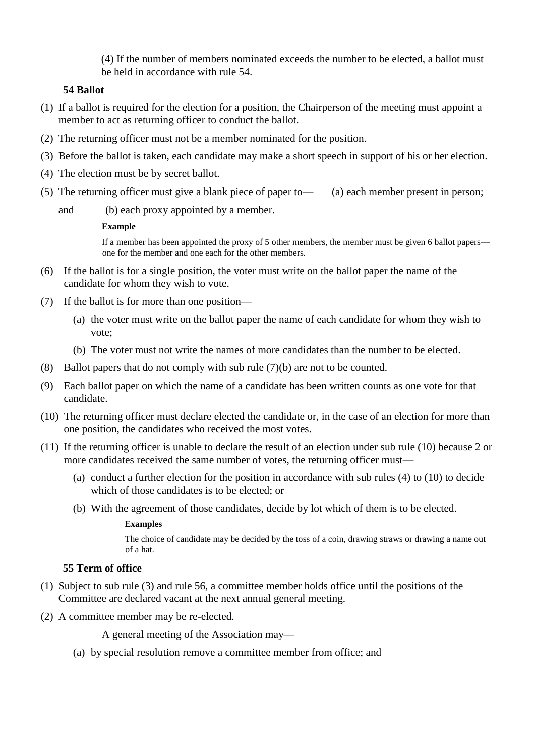(4) If the number of members nominated exceeds the number to be elected, a ballot must be held in accordance with rule 54.

### **54 Ballot**

- (1) If a ballot is required for the election for a position, the Chairperson of the meeting must appoint a member to act as returning officer to conduct the ballot.
- (2) The returning officer must not be a member nominated for the position.
- (3) Before the ballot is taken, each candidate may make a short speech in support of his or her election.
- (4) The election must be by secret ballot.
- (5) The returning officer must give a blank piece of paper to— (a) each member present in person;
	- and (b) each proxy appointed by a member.

#### **Example**

If a member has been appointed the proxy of 5 other members, the member must be given 6 ballot papers one for the member and one each for the other members.

- (6) If the ballot is for a single position, the voter must write on the ballot paper the name of the candidate for whom they wish to vote.
- (7) If the ballot is for more than one position—
	- (a) the voter must write on the ballot paper the name of each candidate for whom they wish to vote;
	- (b) The voter must not write the names of more candidates than the number to be elected.
- (8) Ballot papers that do not comply with sub rule (7)(b) are not to be counted.
- (9) Each ballot paper on which the name of a candidate has been written counts as one vote for that candidate.
- (10) The returning officer must declare elected the candidate or, in the case of an election for more than one position, the candidates who received the most votes.
- (11) If the returning officer is unable to declare the result of an election under sub rule (10) because 2 or more candidates received the same number of votes, the returning officer must—
	- (a) conduct a further election for the position in accordance with sub rules (4) to (10) to decide which of those candidates is to be elected; or
	- (b) With the agreement of those candidates, decide by lot which of them is to be elected.

#### **Examples**

The choice of candidate may be decided by the toss of a coin, drawing straws or drawing a name out of a hat.

# **55 Term of office**

- (1) Subject to sub rule (3) and rule 56, a committee member holds office until the positions of the Committee are declared vacant at the next annual general meeting.
- (2) A committee member may be re-elected.

A general meeting of the Association may—

(a) by special resolution remove a committee member from office; and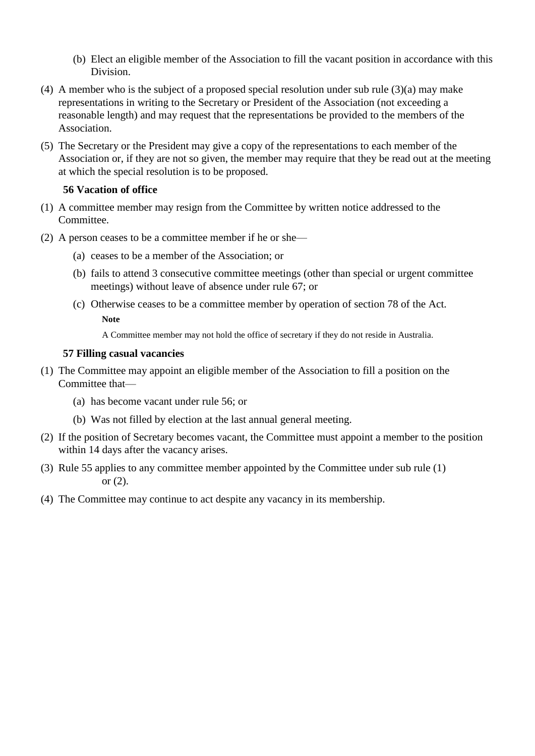- (b) Elect an eligible member of the Association to fill the vacant position in accordance with this Division.
- (4) A member who is the subject of a proposed special resolution under sub rule (3)(a) may make representations in writing to the Secretary or President of the Association (not exceeding a reasonable length) and may request that the representations be provided to the members of the Association.
- (5) The Secretary or the President may give a copy of the representations to each member of the Association or, if they are not so given, the member may require that they be read out at the meeting at which the special resolution is to be proposed.

### **56 Vacation of office**

- (1) A committee member may resign from the Committee by written notice addressed to the Committee.
- (2) A person ceases to be a committee member if he or she—
	- (a) ceases to be a member of the Association; or
	- (b) fails to attend 3 consecutive committee meetings (other than special or urgent committee meetings) without leave of absence under rule 67; or
	- (c) Otherwise ceases to be a committee member by operation of section 78 of the Act. **Note**

A Committee member may not hold the office of secretary if they do not reside in Australia.

#### **57 Filling casual vacancies**

- (1) The Committee may appoint an eligible member of the Association to fill a position on the Committee that—
	- (a) has become vacant under rule 56; or
	- (b) Was not filled by election at the last annual general meeting.
- (2) If the position of Secretary becomes vacant, the Committee must appoint a member to the position within 14 days after the vacancy arises.
- (3) Rule 55 applies to any committee member appointed by the Committee under sub rule (1) or (2).
- (4) The Committee may continue to act despite any vacancy in its membership.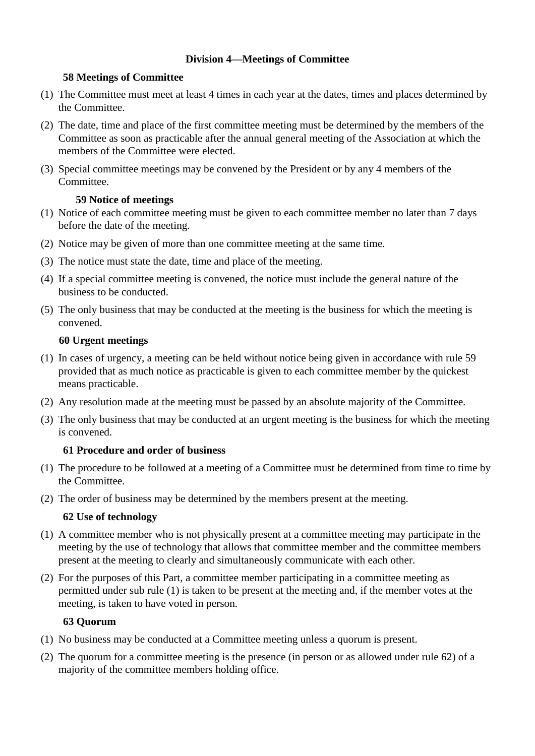# **Division 4—Meetings of Committee**

# **58 Meetings of Committee**

- (1) The Committee must meet at least 4 times in each year at the dates, times and places determined by the Committee.
- (2) The date, time and place of the first committee meeting must be determined by the members of the Committee as soon as practicable after the annual general meeting of the Association at which the members of the Committee were elected.
- (3) Special committee meetings may be convened by the President or by any 4 members of the Committee.

# **59 Notice of meetings**

- (1) Notice of each committee meeting must be given to each committee member no later than 7 days before the date of the meeting.
- (2) Notice may be given of more than one committee meeting at the same time.
- (3) The notice must state the date, time and place of the meeting.
- (4) If a special committee meeting is convened, the notice must include the general nature of the business to be conducted.
- (5) The only business that may be conducted at the meeting is the business for which the meeting is convened.

# **60 Urgent meetings**

- (1) In cases of urgency, a meeting can be held without notice being given in accordance with rule 59 provided that as much notice as practicable is given to each committee member by the quickest means practicable.
- (2) Any resolution made at the meeting must be passed by an absolute majority of the Committee.
- (3) The only business that may be conducted at an urgent meeting is the business for which the meeting is convened.

# **61 Procedure and order of business**

- (1) The procedure to be followed at a meeting of a Committee must be determined from time to time by the Committee.
- (2) The order of business may be determined by the members present at the meeting.

# **62 Use of technology**

- (1) A committee member who is not physically present at a committee meeting may participate in the meeting by the use of technology that allows that committee member and the committee members present at the meeting to clearly and simultaneously communicate with each other.
- (2) For the purposes of this Part, a committee member participating in a committee meeting as permitted under sub rule (1) is taken to be present at the meeting and, if the member votes at the meeting, is taken to have voted in person.

# **63 Quorum**

- (1) No business may be conducted at a Committee meeting unless a quorum is present.
- (2) The quorum for a committee meeting is the presence (in person or as allowed under rule 62) of a majority of the committee members holding office.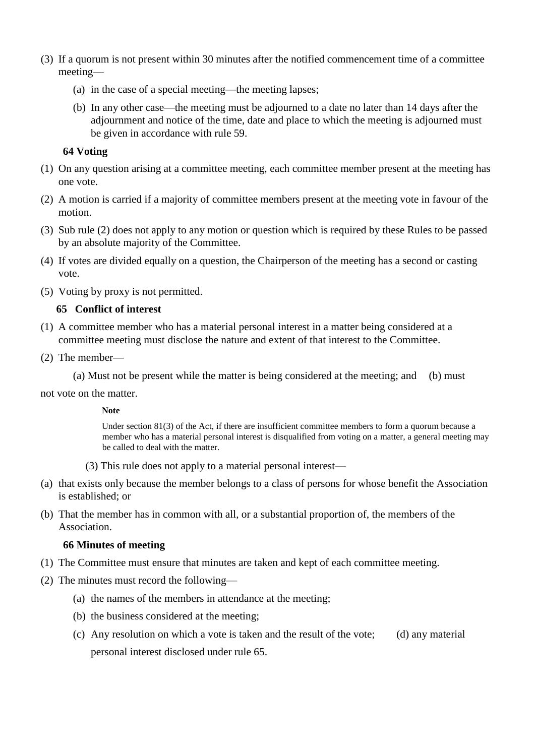- (3) If a quorum is not present within 30 minutes after the notified commencement time of a committee meeting—
	- (a) in the case of a special meeting—the meeting lapses;
	- (b) In any other case—the meeting must be adjourned to a date no later than 14 days after the adjournment and notice of the time, date and place to which the meeting is adjourned must be given in accordance with rule 59.

### **64 Voting**

- (1) On any question arising at a committee meeting, each committee member present at the meeting has one vote.
- (2) A motion is carried if a majority of committee members present at the meeting vote in favour of the motion.
- (3) Sub rule (2) does not apply to any motion or question which is required by these Rules to be passed by an absolute majority of the Committee.
- (4) If votes are divided equally on a question, the Chairperson of the meeting has a second or casting vote.
- (5) Voting by proxy is not permitted.

### **65 Conflict of interest**

- (1) A committee member who has a material personal interest in a matter being considered at a committee meeting must disclose the nature and extent of that interest to the Committee.
- (2) The member—

(a) Must not be present while the matter is being considered at the meeting; and (b) must

not vote on the matter.

#### **Note**

Under section 81(3) of the Act, if there are insufficient committee members to form a quorum because a member who has a material personal interest is disqualified from voting on a matter, a general meeting may be called to deal with the matter.

- (3) This rule does not apply to a material personal interest—
- (a) that exists only because the member belongs to a class of persons for whose benefit the Association is established; or
- (b) That the member has in common with all, or a substantial proportion of, the members of the Association.

#### **66 Minutes of meeting**

- (1) The Committee must ensure that minutes are taken and kept of each committee meeting.
- (2) The minutes must record the following—
	- (a) the names of the members in attendance at the meeting;
	- (b) the business considered at the meeting;
	- (c) Any resolution on which a vote is taken and the result of the vote; (d) any material personal interest disclosed under rule 65.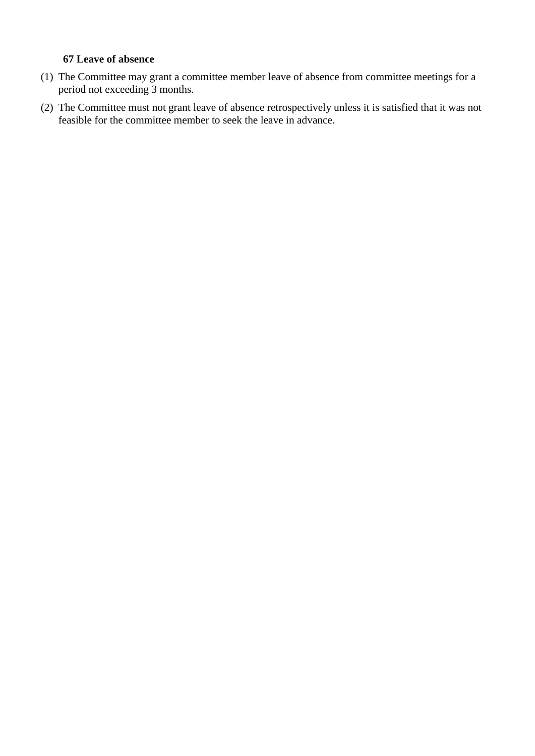### **67 Leave of absence**

- (1) The Committee may grant a committee member leave of absence from committee meetings for a period not exceeding 3 months.
- (2) The Committee must not grant leave of absence retrospectively unless it is satisfied that it was not feasible for the committee member to seek the leave in advance.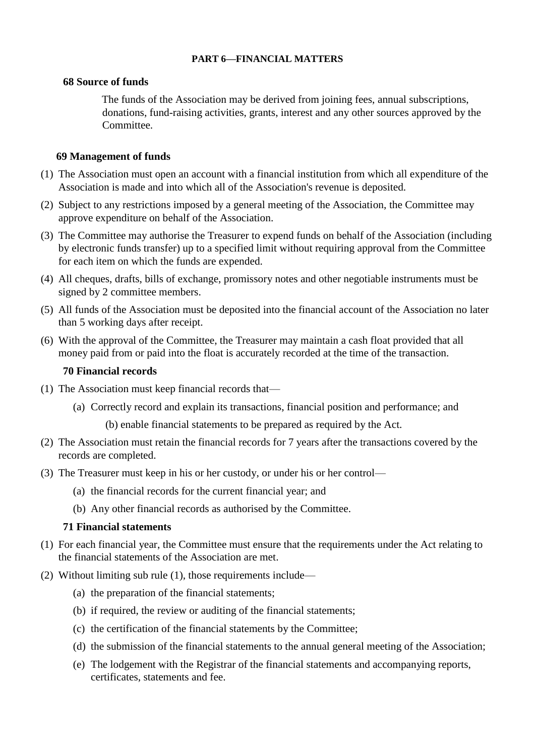### **PART 6—FINANCIAL MATTERS**

### **68 Source of funds**

The funds of the Association may be derived from joining fees, annual subscriptions, donations, fund-raising activities, grants, interest and any other sources approved by the Committee.

# **69 Management of funds**

- (1) The Association must open an account with a financial institution from which all expenditure of the Association is made and into which all of the Association's revenue is deposited.
- (2) Subject to any restrictions imposed by a general meeting of the Association, the Committee may approve expenditure on behalf of the Association.
- (3) The Committee may authorise the Treasurer to expend funds on behalf of the Association (including by electronic funds transfer) up to a specified limit without requiring approval from the Committee for each item on which the funds are expended.
- (4) All cheques, drafts, bills of exchange, promissory notes and other negotiable instruments must be signed by 2 committee members.
- (5) All funds of the Association must be deposited into the financial account of the Association no later than 5 working days after receipt.
- (6) With the approval of the Committee, the Treasurer may maintain a cash float provided that all money paid from or paid into the float is accurately recorded at the time of the transaction.

### **70 Financial records**

- (1) The Association must keep financial records that—
	- (a) Correctly record and explain its transactions, financial position and performance; and

(b) enable financial statements to be prepared as required by the Act.

- (2) The Association must retain the financial records for 7 years after the transactions covered by the records are completed.
- (3) The Treasurer must keep in his or her custody, or under his or her control—
	- (a) the financial records for the current financial year; and
	- (b) Any other financial records as authorised by the Committee.

#### **71 Financial statements**

- (1) For each financial year, the Committee must ensure that the requirements under the Act relating to the financial statements of the Association are met.
- (2) Without limiting sub rule (1), those requirements include—
	- (a) the preparation of the financial statements;
	- (b) if required, the review or auditing of the financial statements;
	- (c) the certification of the financial statements by the Committee;
	- (d) the submission of the financial statements to the annual general meeting of the Association;
	- (e) The lodgement with the Registrar of the financial statements and accompanying reports, certificates, statements and fee.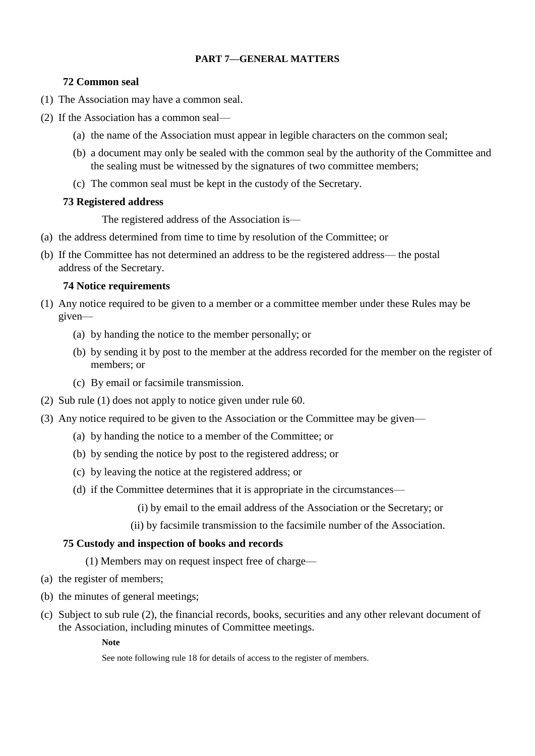### **PART 7—GENERAL MATTERS**

### **72 Common seal**

- (1) The Association may have a common seal.
- (2) If the Association has a common seal—
	- (a) the name of the Association must appear in legible characters on the common seal;
	- (b) a document may only be sealed with the common seal by the authority of the Committee and the sealing must be witnessed by the signatures of two committee members;
	- (c) The common seal must be kept in the custody of the Secretary.

## **73 Registered address**

The registered address of the Association is—

- (a) the address determined from time to time by resolution of the Committee; or
- (b) If the Committee has not determined an address to be the registered address— the postal address of the Secretary.

### **74 Notice requirements**

- (1) Any notice required to be given to a member or a committee member under these Rules may be given—
	- (a) by handing the notice to the member personally; or
	- (b) by sending it by post to the member at the address recorded for the member on the register of members; or
	- (c) By email or facsimile transmission.
- (2) Sub rule (1) does not apply to notice given under rule 60.
- (3) Any notice required to be given to the Association or the Committee may be given—
	- (a) by handing the notice to a member of the Committee; or
	- (b) by sending the notice by post to the registered address; or
	- (c) by leaving the notice at the registered address; or
	- (d) if the Committee determines that it is appropriate in the circumstances—
		- (i) by email to the email address of the Association or the Secretary; or
		- (ii) by facsimile transmission to the facsimile number of the Association.

#### **75 Custody and inspection of books and records**

(1) Members may on request inspect free of charge—

- (a) the register of members;
- (b) the minutes of general meetings;
- (c) Subject to sub rule (2), the financial records, books, securities and any other relevant document of the Association, including minutes of Committee meetings.

#### **Note**

See note following rule 18 for details of access to the register of members.